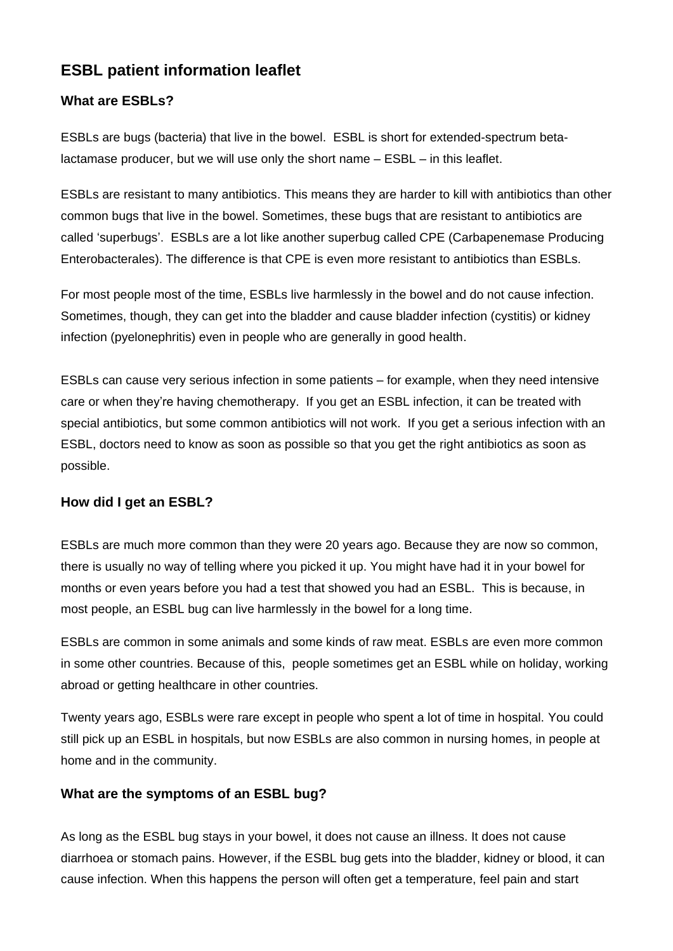# **ESBL patient information leaflet**

### **What are ESBLs?**

ESBLs are bugs (bacteria) that live in the bowel. ESBL is short for extended-spectrum betalactamase producer, but we will use only the short name – ESBL – in this leaflet.

ESBLs are resistant to many antibiotics. This means they are harder to kill with antibiotics than other common bugs that live in the bowel. Sometimes, these bugs that are resistant to antibiotics are called 'superbugs'. ESBLs are a lot like another superbug called CPE (Carbapenemase Producing Enterobacterales). The difference is that CPE is even more resistant to antibiotics than ESBLs.

For most people most of the time, ESBLs live harmlessly in the bowel and do not cause infection. Sometimes, though, they can get into the bladder and cause bladder infection (cystitis) or kidney infection (pyelonephritis) even in people who are generally in good health.

ESBLs can cause very serious infection in some patients – for example, when they need intensive care or when they're having chemotherapy. If you get an ESBL infection, it can be treated with special antibiotics, but some common antibiotics will not work. If you get a serious infection with an ESBL, doctors need to know as soon as possible so that you get the right antibiotics as soon as possible.

#### **How did I get an ESBL?**

ESBLs are much more common than they were 20 years ago. Because they are now so common, there is usually no way of telling where you picked it up. You might have had it in your bowel for months or even years before you had a test that showed you had an ESBL. This is because, in most people, an ESBL bug can live harmlessly in the bowel for a long time.

ESBLs are common in some animals and some kinds of raw meat. ESBLs are even more common in some other countries. Because of this, people sometimes get an ESBL while on holiday, working abroad or getting healthcare in other countries.

Twenty years ago, ESBLs were rare except in people who spent a lot of time in hospital. You could still pick up an ESBL in hospitals, but now ESBLs are also common in nursing homes, in people at home and in the community.

## **What are the symptoms of an ESBL bug?**

As long as the ESBL bug stays in your bowel, it does not cause an illness. It does not cause diarrhoea or stomach pains. However, if the ESBL bug gets into the bladder, kidney or blood, it can cause infection. When this happens the person will often get a temperature, feel pain and start